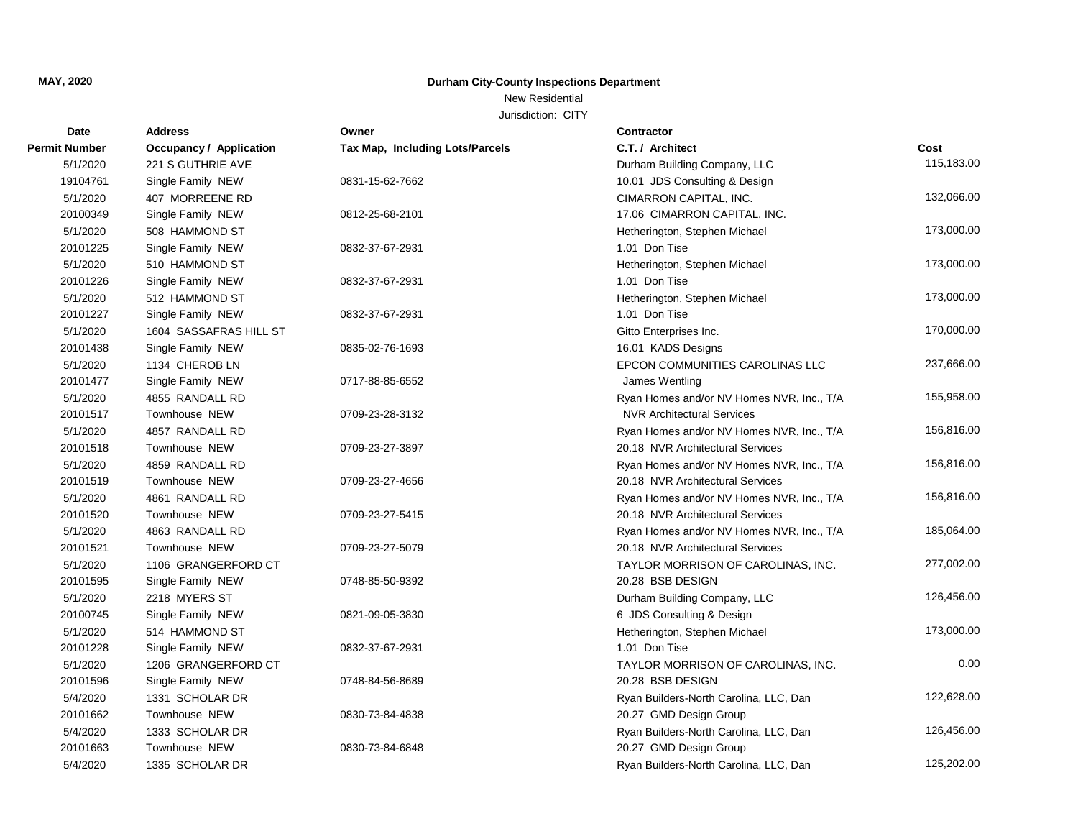## New Residential

| Date                 | <b>Address</b>          | Owner                           | Contractor                                |            |
|----------------------|-------------------------|---------------------------------|-------------------------------------------|------------|
| <b>Permit Number</b> | Occupancy / Application | Tax Map, Including Lots/Parcels | C.T. / Architect                          | Cost       |
| 5/1/2020             | 221 S GUTHRIE AVE       |                                 | Durham Building Company, LLC              | 115,183.00 |
| 19104761             | Single Family NEW       | 0831-15-62-7662                 | 10.01 JDS Consulting & Design             |            |
| 5/1/2020             | 407 MORREENE RD         |                                 | CIMARRON CAPITAL, INC.                    | 132,066.00 |
| 20100349             | Single Family NEW       | 0812-25-68-2101                 | 17.06 CIMARRON CAPITAL, INC.              |            |
| 5/1/2020             | 508 HAMMOND ST          |                                 | Hetherington, Stephen Michael             | 173,000.00 |
| 20101225             | Single Family NEW       | 0832-37-67-2931                 | 1.01 Don Tise                             |            |
| 5/1/2020             | 510 HAMMOND ST          |                                 | Hetherington, Stephen Michael             | 173,000.00 |
| 20101226             | Single Family NEW       | 0832-37-67-2931                 | 1.01 Don Tise                             |            |
| 5/1/2020             | 512 HAMMOND ST          |                                 | Hetherington, Stephen Michael             | 173,000.00 |
| 20101227             | Single Family NEW       | 0832-37-67-2931                 | 1.01 Don Tise                             |            |
| 5/1/2020             | 1604 SASSAFRAS HILL ST  |                                 | Gitto Enterprises Inc.                    | 170,000.00 |
| 20101438             | Single Family NEW       | 0835-02-76-1693                 | 16.01 KADS Designs                        |            |
| 5/1/2020             | 1134 CHEROB LN          |                                 | EPCON COMMUNITIES CAROLINAS LLC           | 237,666.00 |
| 20101477             | Single Family NEW       | 0717-88-85-6552                 | James Wentling                            |            |
| 5/1/2020             | 4855 RANDALL RD         |                                 | Ryan Homes and/or NV Homes NVR, Inc., T/A | 155,958.00 |
| 20101517             | Townhouse NEW           | 0709-23-28-3132                 | <b>NVR Architectural Services</b>         |            |
| 5/1/2020             | 4857 RANDALL RD         |                                 | Ryan Homes and/or NV Homes NVR, Inc., T/A | 156,816.00 |
| 20101518             | Townhouse NEW           | 0709-23-27-3897                 | 20.18 NVR Architectural Services          |            |
| 5/1/2020             | 4859 RANDALL RD         |                                 | Ryan Homes and/or NV Homes NVR, Inc., T/A | 156,816.00 |
| 20101519             | <b>Townhouse NEW</b>    | 0709-23-27-4656                 | 20.18 NVR Architectural Services          |            |
| 5/1/2020             | 4861 RANDALL RD         |                                 | Ryan Homes and/or NV Homes NVR, Inc., T/A | 156,816.00 |
| 20101520             | Townhouse NEW           | 0709-23-27-5415                 | 20.18 NVR Architectural Services          |            |
| 5/1/2020             | 4863 RANDALL RD         |                                 | Ryan Homes and/or NV Homes NVR, Inc., T/A | 185,064.00 |
| 20101521             | <b>Townhouse NEW</b>    | 0709-23-27-5079                 | 20.18 NVR Architectural Services          |            |
| 5/1/2020             | 1106 GRANGERFORD CT     |                                 | TAYLOR MORRISON OF CAROLINAS, INC.        | 277,002.00 |
| 20101595             | Single Family NEW       | 0748-85-50-9392                 | 20.28 BSB DESIGN                          |            |
| 5/1/2020             | 2218 MYERS ST           |                                 | Durham Building Company, LLC              | 126,456.00 |
| 20100745             | Single Family NEW       | 0821-09-05-3830                 | 6 JDS Consulting & Design                 |            |
| 5/1/2020             | 514 HAMMOND ST          |                                 | Hetherington, Stephen Michael             | 173,000.00 |
| 20101228             | Single Family NEW       | 0832-37-67-2931                 | 1.01 Don Tise                             |            |
| 5/1/2020             | 1206 GRANGERFORD CT     |                                 | TAYLOR MORRISON OF CAROLINAS, INC.        | 0.00       |
| 20101596             | Single Family NEW       | 0748-84-56-8689                 | 20.28 BSB DESIGN                          |            |
| 5/4/2020             | 1331 SCHOLAR DR         |                                 | Ryan Builders-North Carolina, LLC, Dan    | 122,628.00 |
| 20101662             | Townhouse NEW           | 0830-73-84-4838                 | 20.27 GMD Design Group                    |            |
| 5/4/2020             | 1333 SCHOLAR DR         |                                 | Ryan Builders-North Carolina, LLC, Dan    | 126,456.00 |
| 20101663             | Townhouse NEW           | 0830-73-84-6848                 | 20.27 GMD Design Group                    |            |
| 5/4/2020             | 1335 SCHOLAR DR         |                                 | Ryan Builders-North Carolina, LLC, Dan    | 125,202.00 |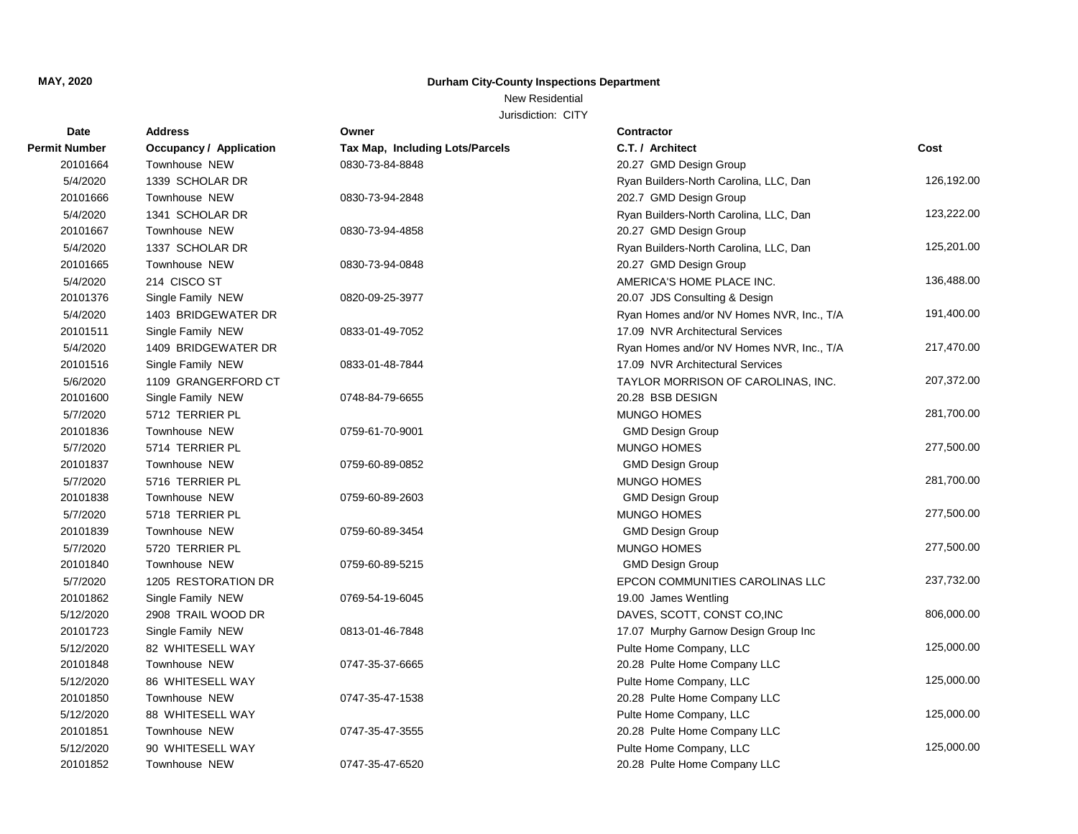## New Residential

| Date                 | <b>Address</b>          | Owner                                  | <b>Contractor</b>                         |            |
|----------------------|-------------------------|----------------------------------------|-------------------------------------------|------------|
| <b>Permit Number</b> | Occupancy / Application | <b>Tax Map, Including Lots/Parcels</b> | C.T. / Architect                          | Cost       |
| 20101664             | Townhouse NEW           | 0830-73-84-8848                        | 20.27 GMD Design Group                    |            |
| 5/4/2020             | 1339 SCHOLAR DR         |                                        | Ryan Builders-North Carolina, LLC, Dan    | 126,192.00 |
| 20101666             | Townhouse NEW           | 0830-73-94-2848                        | 202.7 GMD Design Group                    |            |
| 5/4/2020             | 1341 SCHOLAR DR         |                                        | Ryan Builders-North Carolina, LLC, Dan    | 123,222.00 |
| 20101667             | Townhouse NEW           | 0830-73-94-4858                        | 20.27 GMD Design Group                    |            |
| 5/4/2020             | 1337 SCHOLAR DR         |                                        | Ryan Builders-North Carolina, LLC, Dan    | 125,201.00 |
| 20101665             | Townhouse NEW           | 0830-73-94-0848                        | 20.27 GMD Design Group                    |            |
| 5/4/2020             | 214 CISCO ST            |                                        | AMERICA'S HOME PLACE INC.                 | 136,488.00 |
| 20101376             | Single Family NEW       | 0820-09-25-3977                        | 20.07 JDS Consulting & Design             |            |
| 5/4/2020             | 1403 BRIDGEWATER DR     |                                        | Ryan Homes and/or NV Homes NVR, Inc., T/A | 191,400.00 |
| 20101511             | Single Family NEW       | 0833-01-49-7052                        | 17.09 NVR Architectural Services          |            |
| 5/4/2020             | 1409 BRIDGEWATER DR     |                                        | Ryan Homes and/or NV Homes NVR, Inc., T/A | 217,470.00 |
| 20101516             | Single Family NEW       | 0833-01-48-7844                        | 17.09 NVR Architectural Services          |            |
| 5/6/2020             | 1109 GRANGERFORD CT     |                                        | TAYLOR MORRISON OF CAROLINAS, INC.        | 207,372.00 |
| 20101600             | Single Family NEW       | 0748-84-79-6655                        | 20.28 BSB DESIGN                          |            |
| 5/7/2020             | 5712 TERRIER PL         |                                        | <b>MUNGO HOMES</b>                        | 281,700.00 |
| 20101836             | Townhouse NEW           | 0759-61-70-9001                        | <b>GMD Design Group</b>                   |            |
| 5/7/2020             | 5714 TERRIER PL         |                                        | <b>MUNGO HOMES</b>                        | 277,500.00 |
| 20101837             | Townhouse NEW           | 0759-60-89-0852                        | <b>GMD Design Group</b>                   |            |
| 5/7/2020             | 5716 TERRIER PL         |                                        | <b>MUNGO HOMES</b>                        | 281,700.00 |
| 20101838             | Townhouse NEW           | 0759-60-89-2603                        | <b>GMD Design Group</b>                   |            |
| 5/7/2020             | 5718 TERRIER PL         |                                        | <b>MUNGO HOMES</b>                        | 277,500.00 |
| 20101839             | Townhouse NEW           | 0759-60-89-3454                        | <b>GMD Design Group</b>                   |            |
| 5/7/2020             | 5720 TERRIER PL         |                                        | <b>MUNGO HOMES</b>                        | 277,500.00 |
| 20101840             | Townhouse NEW           | 0759-60-89-5215                        | <b>GMD Design Group</b>                   |            |
| 5/7/2020             | 1205 RESTORATION DR     |                                        | EPCON COMMUNITIES CAROLINAS LLC           | 237,732.00 |
| 20101862             | Single Family NEW       | 0769-54-19-6045                        | 19.00 James Wentling                      |            |
| 5/12/2020            | 2908 TRAIL WOOD DR      |                                        | DAVES, SCOTT, CONST CO, INC               | 806,000.00 |
| 20101723             | Single Family NEW       | 0813-01-46-7848                        | 17.07 Murphy Garnow Design Group Inc      |            |
| 5/12/2020            | 82 WHITESELL WAY        |                                        | Pulte Home Company, LLC                   | 125,000.00 |
| 20101848             | <b>Townhouse NEW</b>    | 0747-35-37-6665                        | 20.28 Pulte Home Company LLC              |            |
| 5/12/2020            | 86 WHITESELL WAY        |                                        | Pulte Home Company, LLC                   | 125,000.00 |
| 20101850             | <b>Townhouse NEW</b>    | 0747-35-47-1538                        | 20.28 Pulte Home Company LLC              |            |
| 5/12/2020            | 88 WHITESELL WAY        |                                        | Pulte Home Company, LLC                   | 125,000.00 |
| 20101851             | <b>Townhouse NEW</b>    | 0747-35-47-3555                        | 20.28 Pulte Home Company LLC              |            |
| 5/12/2020            | 90 WHITESELL WAY        |                                        | Pulte Home Company, LLC                   | 125,000.00 |
| 20101852             | <b>Townhouse NEW</b>    | 0747-35-47-6520                        | 20.28 Pulte Home Company LLC              |            |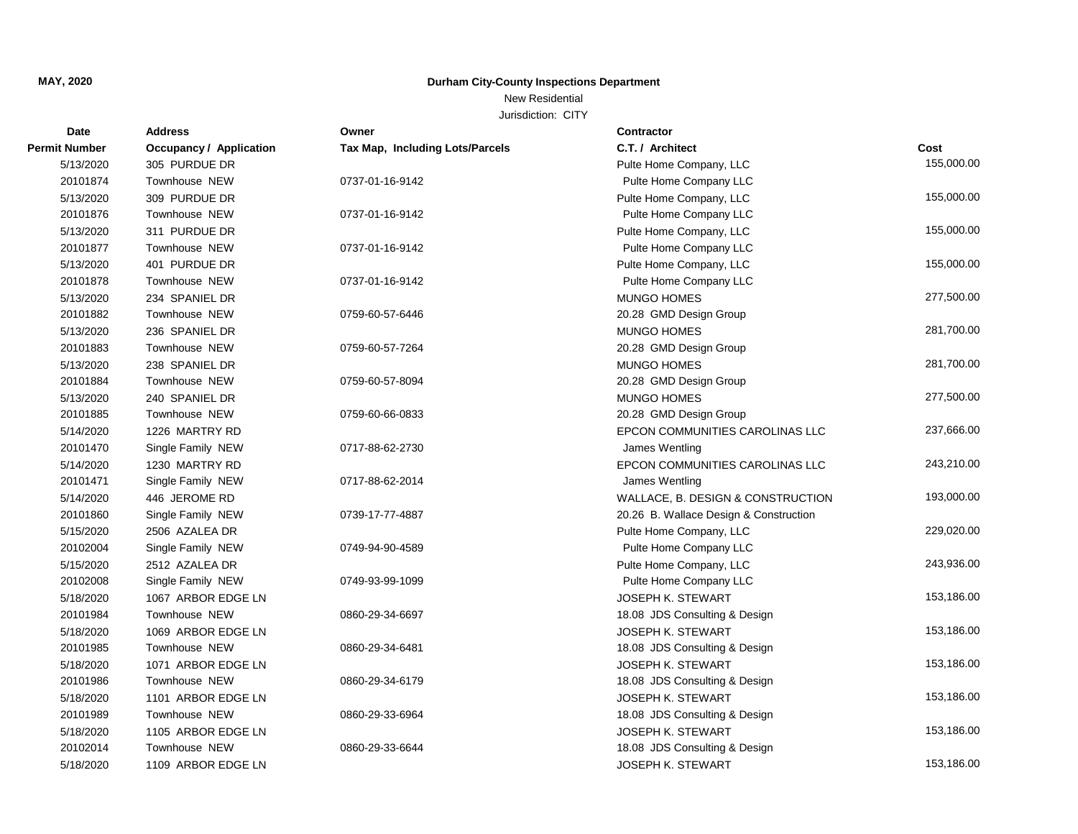New Residential

| Date                 | <b>Address</b>                 | Owner                           | <b>Contractor</b>                      |            |
|----------------------|--------------------------------|---------------------------------|----------------------------------------|------------|
| <b>Permit Number</b> | <b>Occupancy / Application</b> | Tax Map, Including Lots/Parcels | C.T. / Architect                       | Cost       |
| 5/13/2020            | 305 PURDUE DR                  |                                 | Pulte Home Company, LLC                | 155,000.00 |
| 20101874             | Townhouse NEW                  | 0737-01-16-9142                 | Pulte Home Company LLC                 |            |
| 5/13/2020            | 309 PURDUE DR                  |                                 | Pulte Home Company, LLC                | 155,000.00 |
| 20101876             | Townhouse NEW                  | 0737-01-16-9142                 | Pulte Home Company LLC                 |            |
| 5/13/2020            | 311 PURDUE DR                  |                                 | Pulte Home Company, LLC                | 155,000.00 |
| 20101877             | Townhouse NEW                  | 0737-01-16-9142                 | Pulte Home Company LLC                 |            |
| 5/13/2020            | 401 PURDUE DR                  |                                 | Pulte Home Company, LLC                | 155,000.00 |
| 20101878             | Townhouse NEW                  | 0737-01-16-9142                 | Pulte Home Company LLC                 |            |
| 5/13/2020            | 234 SPANIEL DR                 |                                 | <b>MUNGO HOMES</b>                     | 277,500.00 |
| 20101882             | Townhouse NEW                  | 0759-60-57-6446                 | 20.28 GMD Design Group                 |            |
| 5/13/2020            | 236 SPANIEL DR                 |                                 | <b>MUNGO HOMES</b>                     | 281,700.00 |
| 20101883             | Townhouse NEW                  | 0759-60-57-7264                 | 20.28 GMD Design Group                 |            |
| 5/13/2020            | 238 SPANIEL DR                 |                                 | <b>MUNGO HOMES</b>                     | 281,700.00 |
| 20101884             | <b>Townhouse NEW</b>           | 0759-60-57-8094                 | 20.28 GMD Design Group                 |            |
| 5/13/2020            | 240 SPANIEL DR                 |                                 | <b>MUNGO HOMES</b>                     | 277,500.00 |
| 20101885             | Townhouse NEW                  | 0759-60-66-0833                 | 20.28 GMD Design Group                 |            |
| 5/14/2020            | 1226 MARTRY RD                 |                                 | EPCON COMMUNITIES CAROLINAS LLC        | 237,666.00 |
| 20101470             | Single Family NEW              | 0717-88-62-2730                 | James Wentling                         |            |
| 5/14/2020            | 1230 MARTRY RD                 |                                 | EPCON COMMUNITIES CAROLINAS LLC        | 243,210.00 |
| 20101471             | Single Family NEW              | 0717-88-62-2014                 | James Wentling                         |            |
| 5/14/2020            | 446 JEROME RD                  |                                 | WALLACE, B. DESIGN & CONSTRUCTION      | 193,000.00 |
| 20101860             | Single Family NEW              | 0739-17-77-4887                 | 20.26 B. Wallace Design & Construction |            |
| 5/15/2020            | 2506 AZALEA DR                 |                                 | Pulte Home Company, LLC                | 229,020.00 |
| 20102004             | Single Family NEW              | 0749-94-90-4589                 | Pulte Home Company LLC                 |            |
| 5/15/2020            | 2512 AZALEA DR                 |                                 | Pulte Home Company, LLC                | 243,936.00 |
| 20102008             | Single Family NEW              | 0749-93-99-1099                 | Pulte Home Company LLC                 |            |
| 5/18/2020            | 1067 ARBOR EDGE LN             |                                 | <b>JOSEPH K. STEWART</b>               | 153,186.00 |
| 20101984             | Townhouse NEW                  | 0860-29-34-6697                 | 18.08 JDS Consulting & Design          |            |
| 5/18/2020            | 1069 ARBOR EDGE LN             |                                 | <b>JOSEPH K. STEWART</b>               | 153,186.00 |
| 20101985             | Townhouse NEW                  | 0860-29-34-6481                 | 18.08 JDS Consulting & Design          |            |
| 5/18/2020            | 1071 ARBOR EDGE LN             |                                 | <b>JOSEPH K. STEWART</b>               | 153,186.00 |
| 20101986             | Townhouse NEW                  | 0860-29-34-6179                 | 18.08 JDS Consulting & Design          |            |
| 5/18/2020            | 1101 ARBOR EDGE LN             |                                 | <b>JOSEPH K. STEWART</b>               | 153,186.00 |
| 20101989             | <b>Townhouse NEW</b>           | 0860-29-33-6964                 | 18.08 JDS Consulting & Design          |            |
| 5/18/2020            | 1105 ARBOR EDGE LN             |                                 | <b>JOSEPH K. STEWART</b>               | 153,186.00 |
| 20102014             | Townhouse NEW                  | 0860-29-33-6644                 | 18.08 JDS Consulting & Design          |            |
| 5/18/2020            | 1109 ARBOR EDGE LN             |                                 | JOSEPH K. STEWART                      | 153,186.00 |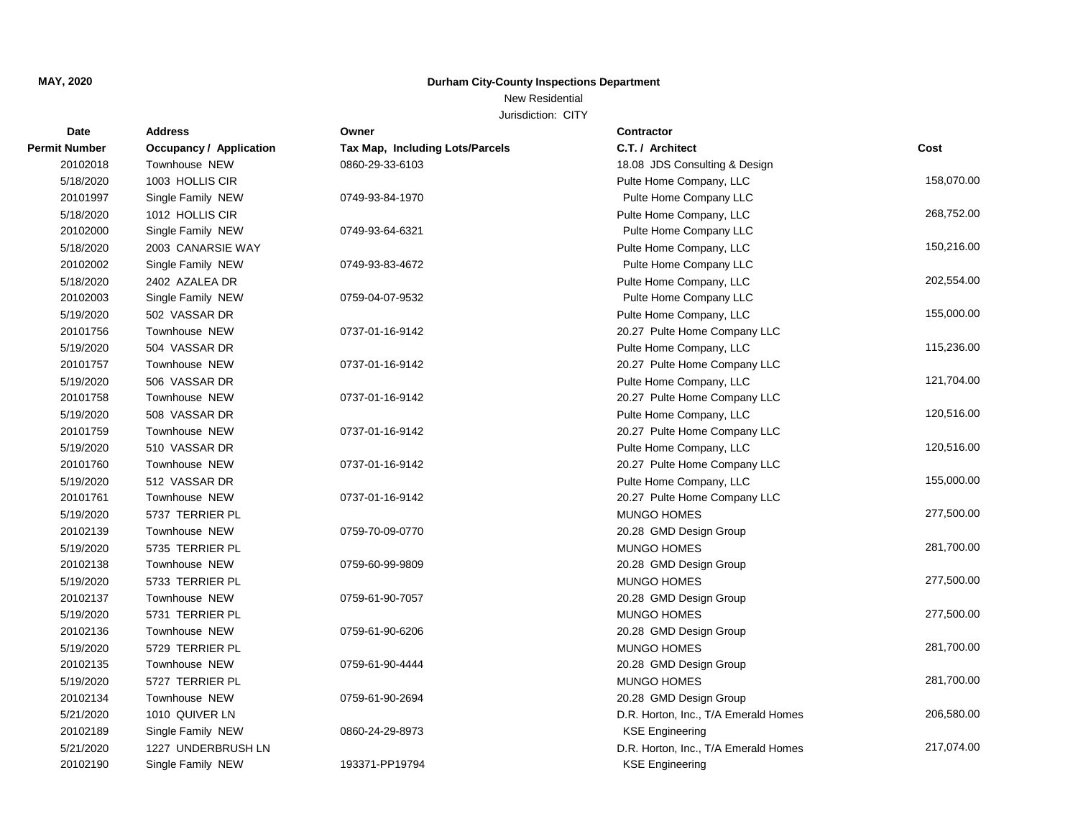## New Residential

| Date                 | <b>Address</b>                 | Owner                                  | <b>Contractor</b>                    |            |
|----------------------|--------------------------------|----------------------------------------|--------------------------------------|------------|
| <b>Permit Number</b> | <b>Occupancy / Application</b> | <b>Tax Map, Including Lots/Parcels</b> | C.T. / Architect                     | Cost       |
| 20102018             | Townhouse NEW                  | 0860-29-33-6103                        | 18.08 JDS Consulting & Design        |            |
| 5/18/2020            | 1003 HOLLIS CIR                |                                        | Pulte Home Company, LLC              | 158,070.00 |
| 20101997             | Single Family NEW              | 0749-93-84-1970                        | Pulte Home Company LLC               |            |
| 5/18/2020            | 1012 HOLLIS CIR                |                                        | Pulte Home Company, LLC              | 268,752.00 |
| 20102000             | Single Family NEW              | 0749-93-64-6321                        | Pulte Home Company LLC               |            |
| 5/18/2020            | 2003 CANARSIE WAY              |                                        | Pulte Home Company, LLC              | 150,216.00 |
| 20102002             | Single Family NEW              | 0749-93-83-4672                        | Pulte Home Company LLC               |            |
| 5/18/2020            | 2402 AZALEA DR                 |                                        | Pulte Home Company, LLC              | 202,554.00 |
| 20102003             | Single Family NEW              | 0759-04-07-9532                        | Pulte Home Company LLC               |            |
| 5/19/2020            | 502 VASSAR DR                  |                                        | Pulte Home Company, LLC              | 155,000.00 |
| 20101756             | Townhouse NEW                  | 0737-01-16-9142                        | 20.27 Pulte Home Company LLC         |            |
| 5/19/2020            | 504 VASSAR DR                  |                                        | Pulte Home Company, LLC              | 115,236.00 |
| 20101757             | Townhouse NEW                  | 0737-01-16-9142                        | 20.27 Pulte Home Company LLC         |            |
| 5/19/2020            | 506 VASSAR DR                  |                                        | Pulte Home Company, LLC              | 121,704.00 |
| 20101758             | Townhouse NEW                  | 0737-01-16-9142                        | 20.27 Pulte Home Company LLC         |            |
| 5/19/2020            | 508 VASSAR DR                  |                                        | Pulte Home Company, LLC              | 120,516.00 |
| 20101759             | Townhouse NEW                  | 0737-01-16-9142                        | 20.27 Pulte Home Company LLC         |            |
| 5/19/2020            | 510 VASSAR DR                  |                                        | Pulte Home Company, LLC              | 120,516.00 |
| 20101760             | Townhouse NEW                  | 0737-01-16-9142                        | 20.27 Pulte Home Company LLC         |            |
| 5/19/2020            | 512 VASSAR DR                  |                                        | Pulte Home Company, LLC              | 155,000.00 |
| 20101761             | Townhouse NEW                  | 0737-01-16-9142                        | 20.27 Pulte Home Company LLC         |            |
| 5/19/2020            | 5737 TERRIER PL                |                                        | MUNGO HOMES                          | 277,500.00 |
| 20102139             | Townhouse NEW                  | 0759-70-09-0770                        | 20.28 GMD Design Group               |            |
| 5/19/2020            | 5735 TERRIER PL                |                                        | <b>MUNGO HOMES</b>                   | 281,700.00 |
| 20102138             | Townhouse NEW                  | 0759-60-99-9809                        | 20.28 GMD Design Group               |            |
| 5/19/2020            | 5733 TERRIER PL                |                                        | MUNGO HOMES                          | 277,500.00 |
| 20102137             | Townhouse NEW                  | 0759-61-90-7057                        | 20.28 GMD Design Group               |            |
| 5/19/2020            | 5731 TERRIER PL                |                                        | <b>MUNGO HOMES</b>                   | 277,500.00 |
| 20102136             | Townhouse NEW                  | 0759-61-90-6206                        | 20.28 GMD Design Group               |            |
| 5/19/2020            | 5729 TERRIER PL                |                                        | <b>MUNGO HOMES</b>                   | 281,700.00 |
| 20102135             | Townhouse NEW                  | 0759-61-90-4444                        | 20.28 GMD Design Group               |            |
| 5/19/2020            | 5727 TERRIER PL                |                                        | <b>MUNGO HOMES</b>                   | 281,700.00 |
| 20102134             | Townhouse NEW                  | 0759-61-90-2694                        | 20.28 GMD Design Group               |            |
| 5/21/2020            | 1010 QUIVER LN                 |                                        | D.R. Horton, Inc., T/A Emerald Homes | 206,580.00 |
| 20102189             | Single Family NEW              | 0860-24-29-8973                        | <b>KSE Engineering</b>               |            |
| 5/21/2020            | 1227 UNDERBRUSH LN             |                                        | D.R. Horton, Inc., T/A Emerald Homes | 217,074.00 |
| 20102190             | Single Family NEW              | 193371-PP19794                         | <b>KSE Engineering</b>               |            |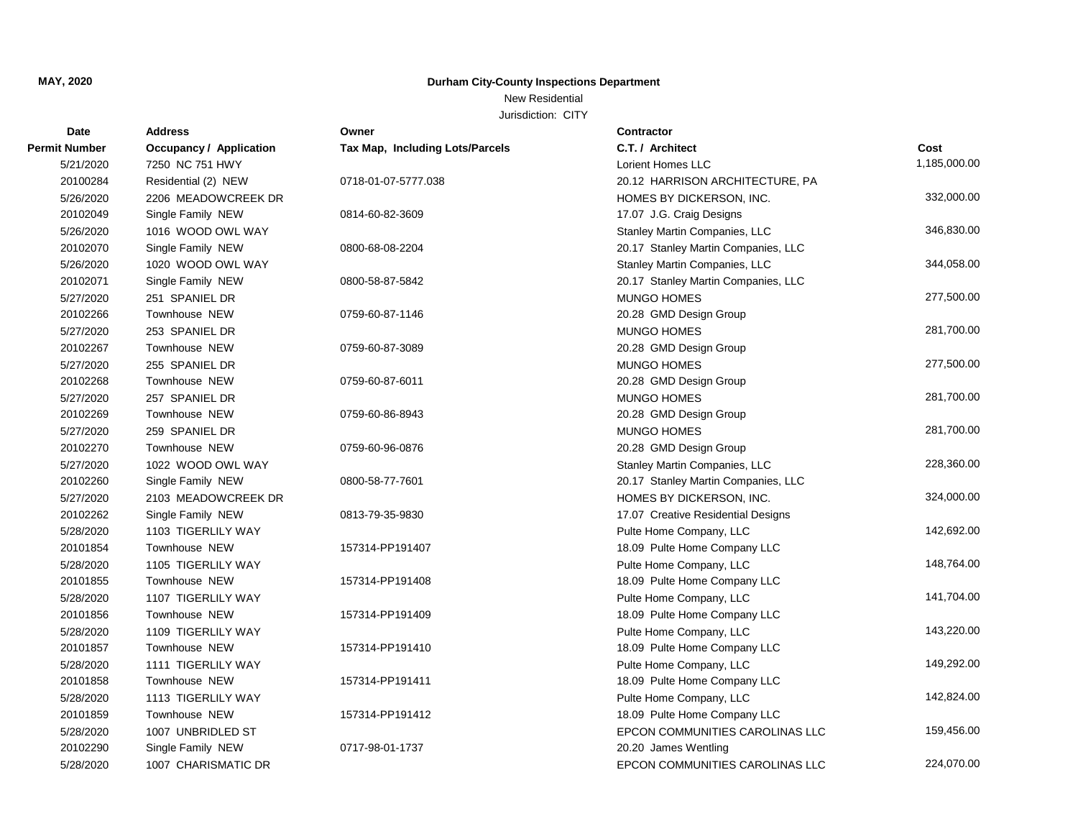## New Residential

| Date                 | <b>Address</b>                 | Owner                           | <b>Contractor</b>                   |              |
|----------------------|--------------------------------|---------------------------------|-------------------------------------|--------------|
| <b>Permit Number</b> | <b>Occupancy / Application</b> | Tax Map, Including Lots/Parcels | C.T. / Architect                    | Cost         |
| 5/21/2020            | 7250 NC 751 HWY                |                                 | Lorient Homes LLC                   | 1,185,000.00 |
| 20100284             | Residential (2) NEW            | 0718-01-07-5777.038             | 20.12 HARRISON ARCHITECTURE, PA     |              |
| 5/26/2020            | 2206 MEADOWCREEK DR            |                                 | HOMES BY DICKERSON, INC.            | 332,000.00   |
| 20102049             | Single Family NEW              | 0814-60-82-3609                 | 17.07 J.G. Craig Designs            |              |
| 5/26/2020            | 1016 WOOD OWL WAY              |                                 | Stanley Martin Companies, LLC       | 346,830.00   |
| 20102070             | Single Family NEW              | 0800-68-08-2204                 | 20.17 Stanley Martin Companies, LLC |              |
| 5/26/2020            | 1020 WOOD OWL WAY              |                                 | Stanley Martin Companies, LLC       | 344,058.00   |
| 20102071             | Single Family NEW              | 0800-58-87-5842                 | 20.17 Stanley Martin Companies, LLC |              |
| 5/27/2020            | 251 SPANIEL DR                 |                                 | <b>MUNGO HOMES</b>                  | 277,500.00   |
| 20102266             | Townhouse NEW                  | 0759-60-87-1146                 | 20.28 GMD Design Group              |              |
| 5/27/2020            | 253 SPANIEL DR                 |                                 | <b>MUNGO HOMES</b>                  | 281,700.00   |
| 20102267             | Townhouse NEW                  | 0759-60-87-3089                 | 20.28 GMD Design Group              |              |
| 5/27/2020            | 255 SPANIEL DR                 |                                 | <b>MUNGO HOMES</b>                  | 277,500.00   |
| 20102268             | <b>Townhouse NEW</b>           | 0759-60-87-6011                 | 20.28 GMD Design Group              |              |
| 5/27/2020            | 257 SPANIEL DR                 |                                 | <b>MUNGO HOMES</b>                  | 281,700.00   |
| 20102269             | Townhouse NEW                  | 0759-60-86-8943                 | 20.28 GMD Design Group              |              |
| 5/27/2020            | 259 SPANIEL DR                 |                                 | <b>MUNGO HOMES</b>                  | 281,700.00   |
| 20102270             | Townhouse NEW                  | 0759-60-96-0876                 | 20.28 GMD Design Group              |              |
| 5/27/2020            | 1022 WOOD OWL WAY              |                                 | Stanley Martin Companies, LLC       | 228,360.00   |
| 20102260             | Single Family NEW              | 0800-58-77-7601                 | 20.17 Stanley Martin Companies, LLC |              |
| 5/27/2020            | 2103 MEADOWCREEK DR            |                                 | HOMES BY DICKERSON, INC.            | 324,000.00   |
| 20102262             | Single Family NEW              | 0813-79-35-9830                 | 17.07 Creative Residential Designs  |              |
| 5/28/2020            | 1103 TIGERLILY WAY             |                                 | Pulte Home Company, LLC             | 142,692.00   |
| 20101854             | <b>Townhouse NEW</b>           | 157314-PP191407                 | 18.09 Pulte Home Company LLC        |              |
| 5/28/2020            | 1105 TIGERLILY WAY             |                                 | Pulte Home Company, LLC             | 148,764.00   |
| 20101855             | <b>Townhouse NEW</b>           | 157314-PP191408                 | 18.09 Pulte Home Company LLC        |              |
| 5/28/2020            | 1107 TIGERLILY WAY             |                                 | Pulte Home Company, LLC             | 141,704.00   |
| 20101856             | Townhouse NEW                  | 157314-PP191409                 | 18.09 Pulte Home Company LLC        |              |
| 5/28/2020            | 1109 TIGERLILY WAY             |                                 | Pulte Home Company, LLC             | 143,220.00   |
| 20101857             | Townhouse NEW                  | 157314-PP191410                 | 18.09 Pulte Home Company LLC        |              |
| 5/28/2020            | 1111 TIGERLILY WAY             |                                 | Pulte Home Company, LLC             | 149,292.00   |
| 20101858             | Townhouse NEW                  | 157314-PP191411                 | 18.09 Pulte Home Company LLC        |              |
| 5/28/2020            | 1113 TIGERLILY WAY             |                                 | Pulte Home Company, LLC             | 142,824.00   |
| 20101859             | Townhouse NEW                  | 157314-PP191412                 | 18.09 Pulte Home Company LLC        |              |
| 5/28/2020            | 1007 UNBRIDLED ST              |                                 | EPCON COMMUNITIES CAROLINAS LLC     | 159,456.00   |
| 20102290             | Single Family NEW              | 0717-98-01-1737                 | 20.20 James Wentling                |              |
| 5/28/2020            | 1007 CHARISMATIC DR            |                                 | EPCON COMMUNITIES CAROLINAS LLC     | 224,070.00   |